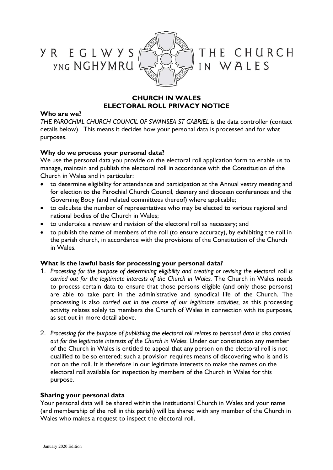



# CHURCH IN WALES ELECTORAL ROLL PRIVACY NOTICE

#### Who are we?

THE PAROCHIAL CHURCH COUNCIL OF SWANSEA ST GABRIEL is the data controller (contact details below). This means it decides how your personal data is processed and for what purposes.

### Why do we process your personal data?

We use the personal data you provide on the electoral roll application form to enable us to manage, maintain and publish the electoral roll in accordance with the Constitution of the Church in Wales and in particular:

- to determine eligibility for attendance and participation at the Annual vestry meeting and for election to the Parochial Church Council, deanery and diocesan conferences and the Governing Body (and related committees thereof) where applicable;
- to calculate the number of representatives who may be elected to various regional and national bodies of the Church in Wales;
- to undertake a review and revision of the electoral roll as necessary; and
- to publish the name of members of the roll (to ensure accuracy), by exhibiting the roll in the parish church, in accordance with the provisions of the Constitution of the Church in Wales.

### What is the lawful basis for processing your personal data?

- 1. Processing for the purpose of determining eligibility and creating or revising the electoral roll is carried out for the legitimate interests of the Church in Wales. The Church in Wales needs to process certain data to ensure that those persons eligible (and only those persons) are able to take part in the administrative and synodical life of the Church. The processing is also carried out in the course of our legitimate activities, as this processing activity relates solely to members the Church of Wales in connection with its purposes, as set out in more detail above.
- 2. Processing for the purpose of publishing the electoral roll relates to personal data is also carried out for the legitimate interests of the Church in Wales. Under our constitution any member of the Church in Wales is entitled to appeal that any person on the electoral roll is not qualified to be so entered; such a provision requires means of discovering who is and is not on the roll. It is therefore in our legitimate interests to make the names on the electoral roll available for inspection by members of the Church in Wales for this purpose.

### Sharing your personal data

Your personal data will be shared within the institutional Church in Wales and your name (and membership of the roll in this parish) will be shared with any member of the Church in Wales who makes a request to inspect the electoral roll.